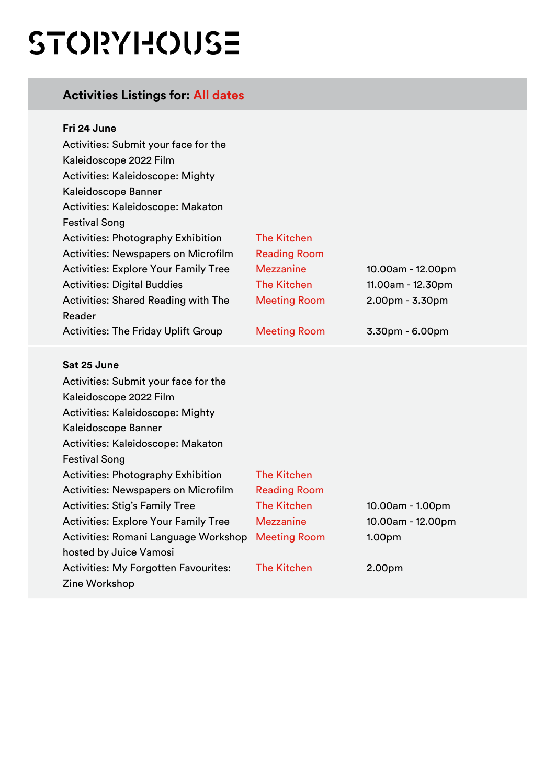# STORYHOUSE

# **Activities Listings for: All dates**

| Fri 24 June                                 |                     |                   |
|---------------------------------------------|---------------------|-------------------|
| Activities: Submit your face for the        |                     |                   |
| Kaleidoscope 2022 Film                      |                     |                   |
| Activities: Kaleidoscope: Mighty            |                     |                   |
| Kaleidoscope Banner                         |                     |                   |
| Activities: Kaleidoscope: Makaton           |                     |                   |
| <b>Festival Song</b>                        |                     |                   |
| <b>Activities: Photography Exhibition</b>   | <b>The Kitchen</b>  |                   |
| <b>Activities: Newspapers on Microfilm</b>  | <b>Reading Room</b> |                   |
| <b>Activities: Explore Your Family Tree</b> | <b>Mezzanine</b>    | 10.00am - 12.00pm |
| <b>Activities: Digital Buddies</b>          | <b>The Kitchen</b>  | 11.00am - 12.30pm |
| <b>Activities: Shared Reading with The</b>  | <b>Meeting Room</b> | 2.00pm - 3.30pm   |
| Reader                                      |                     |                   |
| <b>Activities: The Friday Uplift Group</b>  | <b>Meeting Room</b> | 3.30pm - 6.00pm   |
|                                             |                     |                   |
|                                             |                     |                   |
| Sat 25 June                                 |                     |                   |
| Activities: Submit your face for the        |                     |                   |
| Kaleidoscope 2022 Film                      |                     |                   |
| <b>Activities: Kaleidoscope: Mighty</b>     |                     |                   |
| Kaleidoscope Banner                         |                     |                   |
| Activities: Kaleidoscope: Makaton           |                     |                   |
| <b>Festival Song</b>                        |                     |                   |
| <b>Activities: Photography Exhibition</b>   | <b>The Kitchen</b>  |                   |
| <b>Activities: Newspapers on Microfilm</b>  | <b>Reading Room</b> |                   |
| <b>Activities: Stig's Family Tree</b>       | <b>The Kitchen</b>  | 10.00am - 1.00pm  |
| <b>Activities: Explore Your Family Tree</b> | <b>Mezzanine</b>    | 10.00am - 12.00pm |
| Activities: Romani Language Workshop        | <b>Meeting Room</b> | 1.00pm            |
| hosted by Juice Vamosi                      |                     |                   |
| <b>Activities: My Forgotten Favourites:</b> | <b>The Kitchen</b>  | 2.00pm            |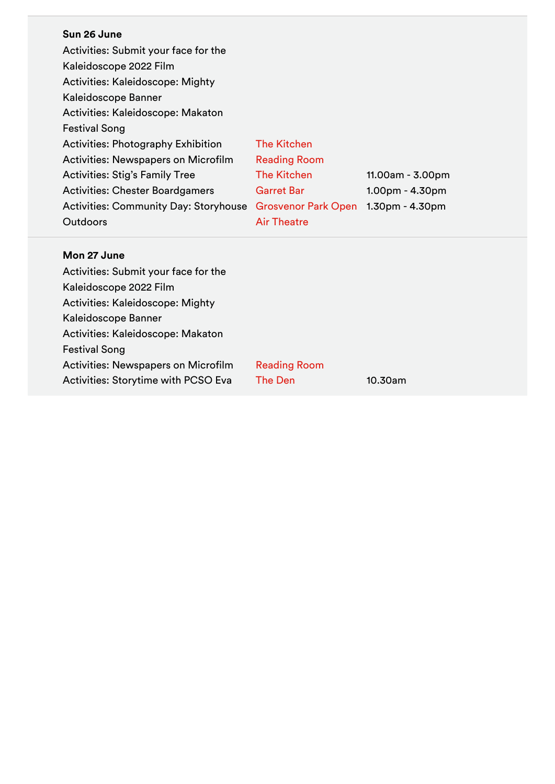## **Sun 26 June**

| Activities: Submit your face for the         |                            |                    |
|----------------------------------------------|----------------------------|--------------------|
| Kaleidoscope 2022 Film                       |                            |                    |
| Activities: Kaleidoscope: Mighty             |                            |                    |
| Kaleidoscope Banner                          |                            |                    |
| Activities: Kaleidoscope: Makaton            |                            |                    |
| <b>Festival Song</b>                         |                            |                    |
| <b>Activities: Photography Exhibition</b>    | The Kitchen                |                    |
| Activities: Newspapers on Microfilm          | <b>Reading Room</b>        |                    |
| <b>Activities: Stig's Family Tree</b>        | The Kitchen                | $11.00am - 3.00pm$ |
| <b>Activities: Chester Boardgamers</b>       | <b>Garret Bar</b>          | $1.00pm - 4.30pm$  |
| <b>Activities: Community Day: Storyhouse</b> | <b>Grosvenor Park Open</b> | $1.30pm - 4.30pm$  |
| Outdoors                                     | <b>Air Theatre</b>         |                    |

#### **Mon 27 June**

| Activities: Submit your face for the       |                     |         |
|--------------------------------------------|---------------------|---------|
| Kaleidoscope 2022 Film                     |                     |         |
| <b>Activities: Kaleidoscope: Mighty</b>    |                     |         |
| Kaleidoscope Banner                        |                     |         |
| Activities: Kaleidoscope: Makaton          |                     |         |
| <b>Festival Song</b>                       |                     |         |
| <b>Activities: Newspapers on Microfilm</b> | <b>Reading Room</b> |         |
| Activities: Storytime with PCSO Eva        | <b>The Den</b>      | 10.30am |
|                                            |                     |         |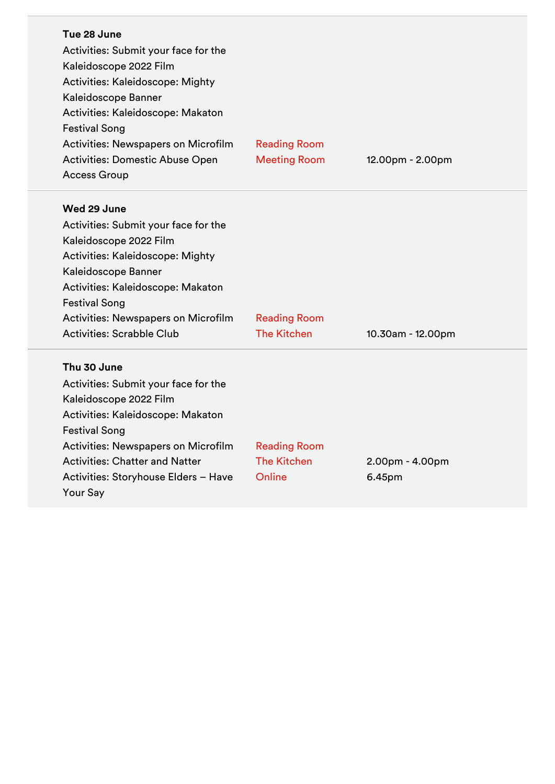| Tue 28 June<br>Activities: Submit your face for the<br>Kaleidoscope 2022 Film<br>Activities: Kaleidoscope: Mighty<br>Kaleidoscope Banner<br>Activities: Kaleidoscope: Makaton<br><b>Festival Song</b><br><b>Activities: Newspapers on Microfilm</b><br><b>Activities: Domestic Abuse Open</b><br><b>Access Group</b> | <b>Reading Room</b><br><b>Meeting Room</b>          | 12.00pm - 2.00pm            |
|----------------------------------------------------------------------------------------------------------------------------------------------------------------------------------------------------------------------------------------------------------------------------------------------------------------------|-----------------------------------------------------|-----------------------------|
| Wed 29 June<br>Activities: Submit your face for the<br>Kaleidoscope 2022 Film<br>Activities: Kaleidoscope: Mighty<br>Kaleidoscope Banner<br>Activities: Kaleidoscope: Makaton<br><b>Festival Song</b><br>Activities: Newspapers on Microfilm<br><b>Activities: Scrabble Club</b>                                     | <b>Reading Room</b><br><b>The Kitchen</b>           | 10.30am - 12.00pm           |
| Thu 30 June<br>Activities: Submit your face for the<br>Kaleidoscope 2022 Film<br>Activities: Kaleidoscope: Makaton<br><b>Festival Song</b><br><b>Activities: Newspapers on Microfilm</b><br><b>Activities: Chatter and Natter</b><br>Activities: Storyhouse Elders - Have<br>Your Say                                | <b>Reading Room</b><br><b>The Kitchen</b><br>Online | $2.00pm - 4.00pm$<br>6.45pm |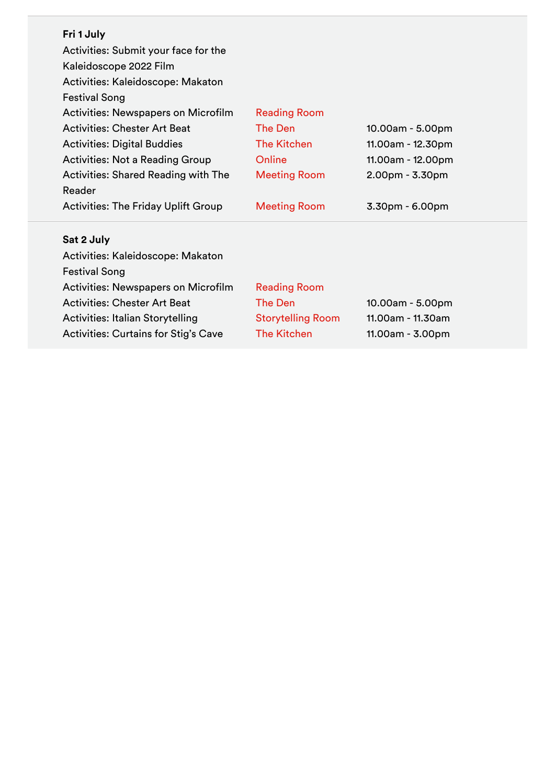| Fri 1 July                                 |                          |                   |
|--------------------------------------------|--------------------------|-------------------|
| Activities: Submit your face for the       |                          |                   |
| Kaleidoscope 2022 Film                     |                          |                   |
| Activities: Kaleidoscope: Makaton          |                          |                   |
| <b>Festival Song</b>                       |                          |                   |
| <b>Activities: Newspapers on Microfilm</b> | <b>Reading Room</b>      |                   |
| <b>Activities: Chester Art Beat</b>        | <b>The Den</b>           | 10.00am - 5.00pm  |
| <b>Activities: Digital Buddies</b>         | <b>The Kitchen</b>       | 11.00am - 12.30pm |
| <b>Activities: Not a Reading Group</b>     | Online                   | 11.00am - 12.00pm |
| <b>Activities: Shared Reading with The</b> | <b>Meeting Room</b>      | 2.00pm - 3.30pm   |
|                                            |                          |                   |
| Reader                                     |                          |                   |
| <b>Activities: The Friday Uplift Group</b> | <b>Meeting Room</b>      | $3.30pm - 6.00pm$ |
|                                            |                          |                   |
| Sat 2 July                                 |                          |                   |
| Activities: Kaleidoscope: Makaton          |                          |                   |
| <b>Festival Song</b>                       |                          |                   |
| <b>Activities: Newspapers on Microfilm</b> | <b>Reading Room</b>      |                   |
| <b>Activities: Chester Art Beat</b>        | The Den                  | 10.00am - 5.00pm  |
| <b>Activities: Italian Storytelling</b>    | <b>Storytelling Room</b> | 11.00am - 11.30am |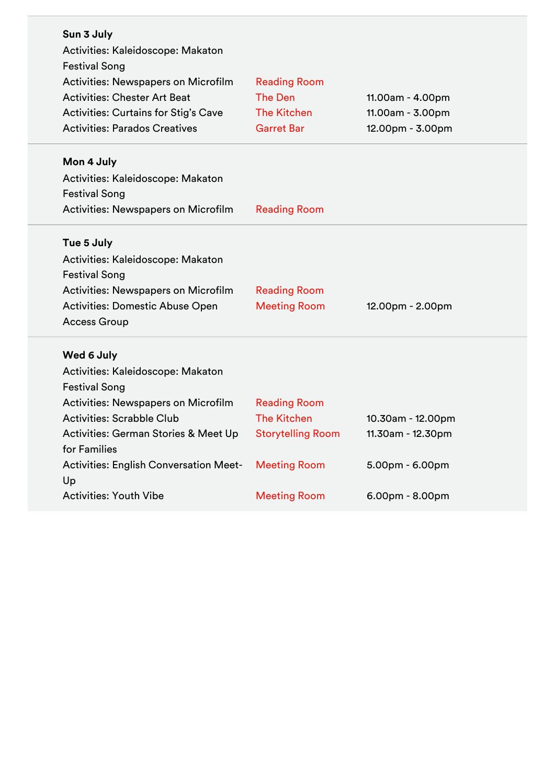| Sun 3 July<br>Activities: Kaleidoscope: Makaton<br><b>Festival Song</b><br><b>Activities: Newspapers on Microfilm</b><br><b>Activities: Chester Art Beat</b><br>Activities: Curtains for Stig's Cave                                                        | <b>Reading Room</b><br><b>The Den</b><br><b>The Kitchen</b>                                  | 11.00am - 4.00pm<br>11.00am - 3.00pm                      |
|-------------------------------------------------------------------------------------------------------------------------------------------------------------------------------------------------------------------------------------------------------------|----------------------------------------------------------------------------------------------|-----------------------------------------------------------|
| <b>Activities: Parados Creatives</b>                                                                                                                                                                                                                        | <b>Garret Bar</b>                                                                            | 12.00pm - 3.00pm                                          |
| Mon 4 July<br>Activities: Kaleidoscope: Makaton<br><b>Festival Song</b><br><b>Activities: Newspapers on Microfilm</b>                                                                                                                                       | <b>Reading Room</b>                                                                          |                                                           |
| Tue 5 July<br>Activities: Kaleidoscope: Makaton<br><b>Festival Song</b><br><b>Activities: Newspapers on Microfilm</b><br><b>Activities: Domestic Abuse Open</b><br><b>Access Group</b>                                                                      | <b>Reading Room</b><br><b>Meeting Room</b>                                                   | 12.00pm - 2.00pm                                          |
| Wed 6 July<br>Activities: Kaleidoscope: Makaton<br><b>Festival Song</b><br><b>Activities: Newspapers on Microfilm</b><br><b>Activities: Scrabble Club</b><br>Activities: German Stories & Meet Up<br>for Families<br>Activities: English Conversation Meet- | <b>Reading Room</b><br><b>The Kitchen</b><br><b>Storytelling Room</b><br><b>Meeting Room</b> | 10.30am - 12.00pm<br>11.30am - 12.30pm<br>5.00pm - 6.00pm |
| Up<br><b>Activities: Youth Vibe</b>                                                                                                                                                                                                                         | <b>Meeting Room</b>                                                                          | 6.00pm - 8.00pm                                           |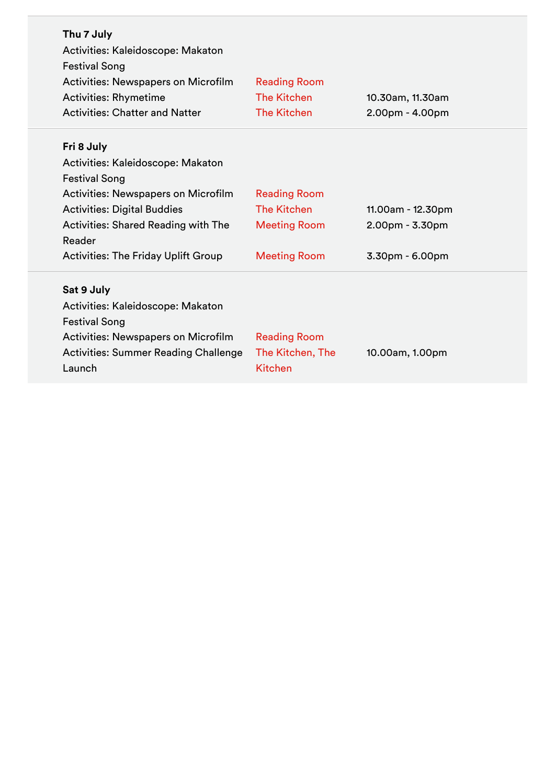| Thu 7 July<br>Activities: Kaleidoscope: Makaton<br><b>Festival Song</b><br><b>Activities: Newspapers on Microfilm</b><br><b>Activities: Rhymetime</b><br><b>Activities: Chatter and Natter</b> | <b>Reading Room</b><br><b>The Kitchen</b><br><b>The Kitchen</b> | 10.30am, 11.30am<br>$2.00pm - 4.00pm$ |
|------------------------------------------------------------------------------------------------------------------------------------------------------------------------------------------------|-----------------------------------------------------------------|---------------------------------------|
| Fri 8 July                                                                                                                                                                                     |                                                                 |                                       |
| Activities: Kaleidoscope: Makaton                                                                                                                                                              |                                                                 |                                       |
| <b>Festival Song</b>                                                                                                                                                                           |                                                                 |                                       |
| <b>Activities: Newspapers on Microfilm</b>                                                                                                                                                     | <b>Reading Room</b>                                             |                                       |
| <b>Activities: Digital Buddies</b>                                                                                                                                                             | <b>The Kitchen</b>                                              | 11.00am - 12.30pm                     |
| <b>Activities: Shared Reading with The</b><br>Reader                                                                                                                                           | <b>Meeting Room</b>                                             | $2.00pm - 3.30pm$                     |
| <b>Activities: The Friday Uplift Group</b>                                                                                                                                                     | <b>Meeting Room</b>                                             | 3.30pm - 6.00pm                       |
| Sat 9 July                                                                                                                                                                                     |                                                                 |                                       |
| Activities: Kaleidoscope: Makaton                                                                                                                                                              |                                                                 |                                       |
| <b>Festival Song</b>                                                                                                                                                                           |                                                                 |                                       |
| <b>Activities: Newspapers on Microfilm</b>                                                                                                                                                     | <b>Reading Room</b>                                             |                                       |
| <b>Activities: Summer Reading Challenge</b>                                                                                                                                                    | The Kitchen, The                                                | 10.00am, 1.00pm                       |
| Launch                                                                                                                                                                                         | <b>Kitchen</b>                                                  |                                       |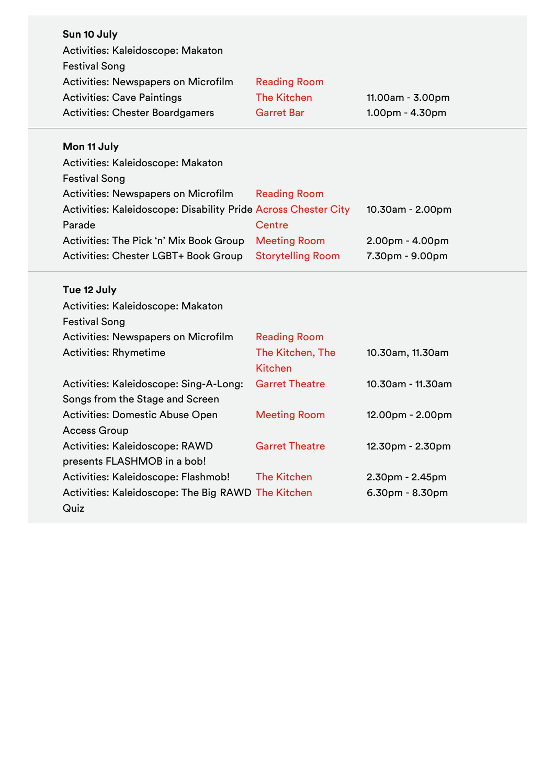| Sun 10 July<br>Activities: Kaleidoscope: Makaton               |                                    |                   |
|----------------------------------------------------------------|------------------------------------|-------------------|
| <b>Festival Song</b>                                           |                                    |                   |
| <b>Activities: Newspapers on Microfilm</b>                     | <b>Reading Room</b>                |                   |
| <b>Activities: Cave Paintings</b>                              | <b>The Kitchen</b>                 | 11.00am - 3.00pm  |
| <b>Activities: Chester Boardgamers</b>                         | <b>Garret Bar</b>                  | 1.00pm - 4.30pm   |
| Mon 11 July                                                    |                                    |                   |
| Activities: Kaleidoscope: Makaton<br><b>Festival Song</b>      |                                    |                   |
| <b>Activities: Newspapers on Microfilm</b>                     | <b>Reading Room</b>                |                   |
| Activities: Kaleidoscope: Disability Pride Across Chester City |                                    | 10.30am - 2.00pm  |
| Parade                                                         | Centre                             |                   |
| Activities: The Pick 'n' Mix Book Group                        | <b>Meeting Room</b>                | 2.00pm - 4.00pm   |
| Activities: Chester LGBT+ Book Group                           | <b>Storytelling Room</b>           | 7.30pm - 9.00pm   |
|                                                                |                                    |                   |
|                                                                |                                    |                   |
| Tue 12 July                                                    |                                    |                   |
| Activities: Kaleidoscope: Makaton                              |                                    |                   |
| <b>Festival Song</b>                                           |                                    |                   |
| <b>Activities: Newspapers on Microfilm</b>                     | <b>Reading Room</b>                |                   |
| <b>Activities: Rhymetime</b>                                   | The Kitchen, The<br><b>Kitchen</b> | 10.30am, 11.30am  |
| Activities: Kaleidoscope: Sing-A-Long:                         | <b>Garret Theatre</b>              | 10.30am - 11.30am |
| Songs from the Stage and Screen                                |                                    |                   |
| <b>Activities: Domestic Abuse Open</b>                         | <b>Meeting Room</b>                | 12.00pm - 2.00pm  |
| <b>Access Group</b>                                            |                                    |                   |
| Activities: Kaleidoscope: RAWD                                 | <b>Garret Theatre</b>              | 12.30pm - 2.30pm  |
| presents FLASHMOB in a bob!                                    |                                    |                   |
| Activities: Kaleidoscope: Flashmob!                            | <b>The Kitchen</b>                 | 2.30pm - 2.45pm   |
| Activities: Kaleidoscope: The Big RAWD The Kitchen             |                                    | 6.30pm - 8.30pm   |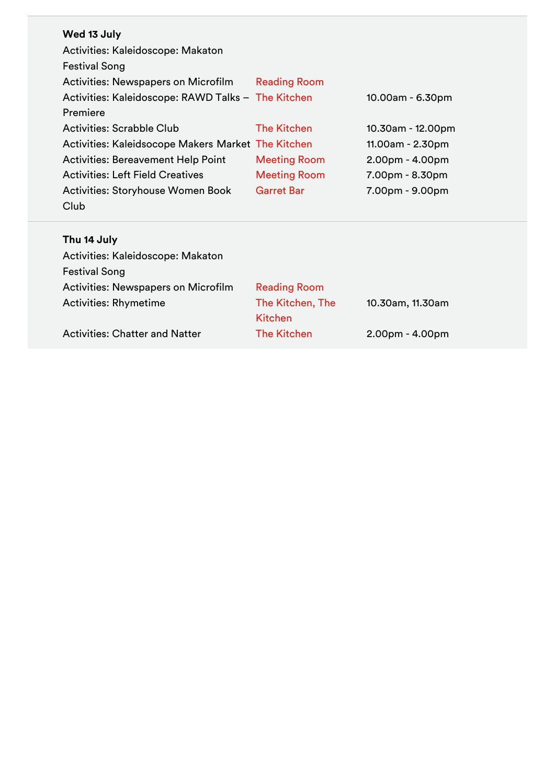## **Wed 13 July**

| Activities: Kaleidoscope: Makaton                  |                     |                     |
|----------------------------------------------------|---------------------|---------------------|
| <b>Festival Song</b>                               |                     |                     |
| Activities: Newspapers on Microfilm                | <b>Reading Room</b> |                     |
| Activities: Kaleidoscope: RAWD Talks - The Kitchen |                     | 10.00am - 6.30pm    |
| Premiere                                           |                     |                     |
| <b>Activities: Scrabble Club</b>                   | The Kitchen         | 10.30am - 12.00pm   |
| Activities: Kaleidsocope Makers Market The Kitchen |                     | $11.00$ am - 2.30pm |
| <b>Activities: Bereavement Help Point</b>          | <b>Meeting Room</b> | $2.00pm - 4.00pm$   |
| <b>Activities: Left Field Creatives</b>            | <b>Meeting Room</b> | $7.00pm - 8.30pm$   |
| <b>Activities: Storyhouse Women Book</b>           | <b>Garret Bar</b>   | 7.00pm - 9.00pm     |
| Club                                               |                     |                     |
|                                                    |                     |                     |

#### **Thu 14 July**

| Activities: Kaleidoscope: Makaton     |                     |                   |
|---------------------------------------|---------------------|-------------------|
| <b>Festival Song</b>                  |                     |                   |
| Activities: Newspapers on Microfilm   | <b>Reading Room</b> |                   |
| <b>Activities: Rhymetime</b>          | The Kitchen, The    | 10.30am, 11.30am  |
|                                       | Kitchen             |                   |
| <b>Activities: Chatter and Natter</b> | <b>The Kitchen</b>  | $2.00pm - 4.00pm$ |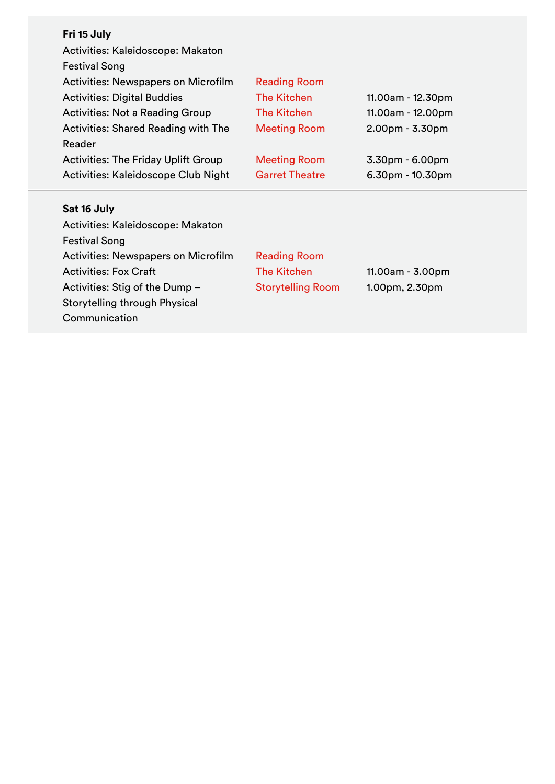| Fri 15 July<br>Activities: Kaleidoscope: Makaton<br><b>Festival Song</b><br><b>Activities: Newspapers on Microfilm</b><br><b>Activities: Digital Buddies</b><br><b>Activities: Not a Reading Group</b><br><b>Activities: Shared Reading with The</b><br>Reader<br><b>Activities: The Friday Uplift Group</b><br>Activities: Kaleidoscope Club Night | <b>Reading Room</b><br><b>The Kitchen</b><br><b>The Kitchen</b><br><b>Meeting Room</b><br><b>Meeting Room</b><br><b>Garret Theatre</b> | 11.00am - 12.30pm<br>11.00am - 12.00pm<br>$2.00pm - 3.30pm$<br>$3.30pm - 6.00pm$<br>$6.30pm - 10.30pm$ |
|-----------------------------------------------------------------------------------------------------------------------------------------------------------------------------------------------------------------------------------------------------------------------------------------------------------------------------------------------------|----------------------------------------------------------------------------------------------------------------------------------------|--------------------------------------------------------------------------------------------------------|
| Sat 16 July<br>Activities: Kaleidoscope: Makaton<br><b>Festival Song</b><br>Activities: Newspapers on Microfilm<br><b>Activities: Fox Craft</b><br>Activities: Stig of the Dump -<br>Storytelling through Physical<br>Communication                                                                                                                 | <b>Reading Room</b><br><b>The Kitchen</b><br><b>Storytelling Room</b>                                                                  | 11.00am - 3.00pm<br>1.00pm, 2.30pm                                                                     |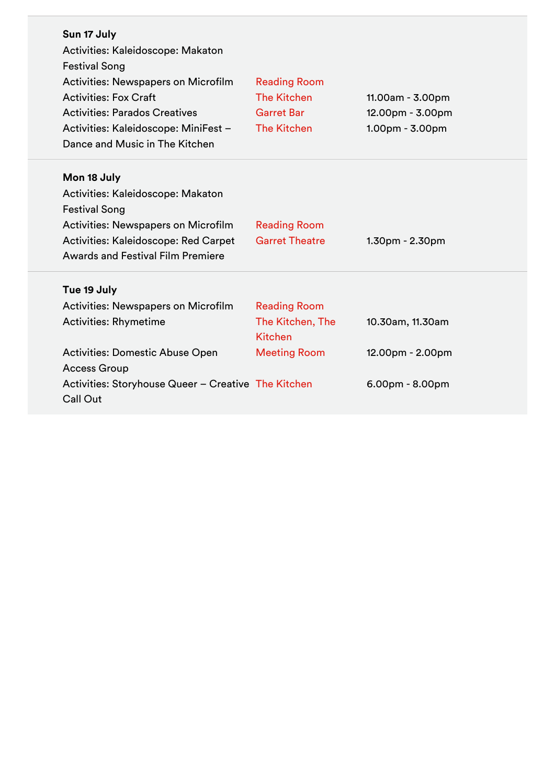| Sun 17 July<br>Activities: Kaleidoscope: Makaton<br><b>Festival Song</b><br><b>Activities: Newspapers on Microfilm</b> | <b>Reading Room</b>                |                   |
|------------------------------------------------------------------------------------------------------------------------|------------------------------------|-------------------|
| <b>Activities: Fox Craft</b>                                                                                           | <b>The Kitchen</b>                 | 11.00am - 3.00pm  |
| <b>Activities: Parados Creatives</b>                                                                                   | <b>Garret Bar</b>                  | 12.00pm - 3.00pm  |
| Activities: Kaleidoscope: MiniFest -                                                                                   | <b>The Kitchen</b>                 | $1.00pm - 3.00pm$ |
| Dance and Music in The Kitchen                                                                                         |                                    |                   |
| Mon 18 July                                                                                                            |                                    |                   |
| Activities: Kaleidoscope: Makaton                                                                                      |                                    |                   |
| <b>Festival Song</b>                                                                                                   |                                    |                   |
| <b>Activities: Newspapers on Microfilm</b>                                                                             | <b>Reading Room</b>                |                   |
| Activities: Kaleidoscope: Red Carpet                                                                                   | <b>Garret Theatre</b>              | 1.30pm - 2.30pm   |
| <b>Awards and Festival Film Premiere</b>                                                                               |                                    |                   |
| Tue 19 July                                                                                                            |                                    |                   |
| <b>Activities: Newspapers on Microfilm</b>                                                                             | <b>Reading Room</b>                |                   |
| <b>Activities: Rhymetime</b>                                                                                           | The Kitchen, The<br><b>Kitchen</b> | 10.30am, 11.30am  |
| Activities: Domestic Abuse Open                                                                                        | <b>Meeting Room</b>                | 12.00pm - 2.00pm  |
| <b>Access Group</b>                                                                                                    |                                    |                   |
| Activities: Storyhouse Queer - Creative The Kitchen                                                                    |                                    | $6.00pm - 8.00pm$ |
| Call Out                                                                                                               |                                    |                   |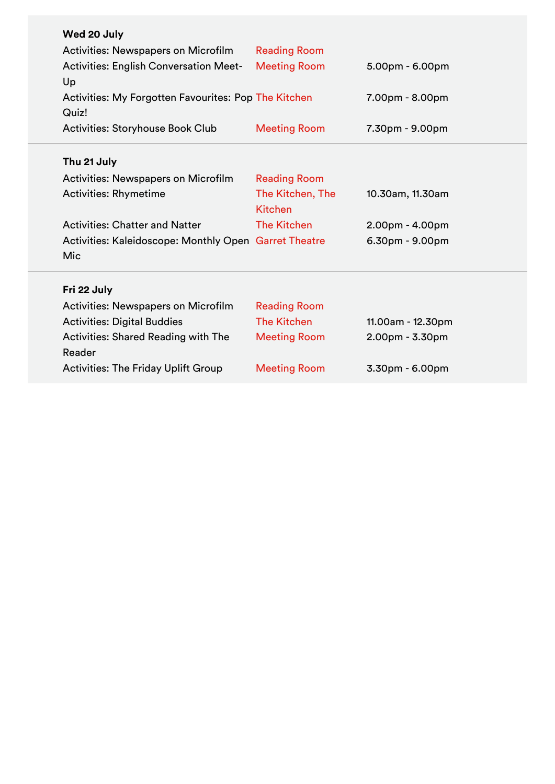| Wed 20 July                                           |                     |                   |
|-------------------------------------------------------|---------------------|-------------------|
| <b>Activities: Newspapers on Microfilm</b>            | <b>Reading Room</b> |                   |
| <b>Activities: English Conversation Meet-</b>         | <b>Meeting Room</b> | $5.00pm - 6.00pm$ |
| Up                                                    |                     |                   |
| Activities: My Forgotten Favourites: Pop The Kitchen  |                     | $7.00pm - 8.00pm$ |
| Quiz!                                                 |                     |                   |
| Activities: Storyhouse Book Club                      | <b>Meeting Room</b> | 7.30pm - 9.00pm   |
|                                                       |                     |                   |
| Thu 21 July                                           |                     |                   |
| Activities: Newspapers on Microfilm                   | <b>Reading Room</b> |                   |
| <b>Activities: Rhymetime</b>                          | The Kitchen, The    | 10.30am, 11.30am  |
|                                                       | <b>Kitchen</b>      |                   |
| <b>Activities: Chatter and Natter</b>                 | <b>The Kitchen</b>  | $2.00pm - 4.00pm$ |
| Activities: Kaleidoscope: Monthly Open Garret Theatre |                     | $6.30pm - 9.00pm$ |
| Mic                                                   |                     |                   |
|                                                       |                     |                   |
| Fri 22 July                                           |                     |                   |
| Activities: Newspapers on Microfilm                   | <b>Reading Room</b> |                   |
| <b>Activities: Digital Buddies</b>                    | <b>The Kitchen</b>  | 11.00am - 12.30pm |
| <b>Activities: Shared Reading with The</b>            | <b>Meeting Room</b> | $2.00pm - 3.30pm$ |
| Reader                                                |                     |                   |
| <b>Activities: The Friday Uplift Group</b>            | <b>Meeting Room</b> | $3.30pm - 6.00pm$ |
|                                                       |                     |                   |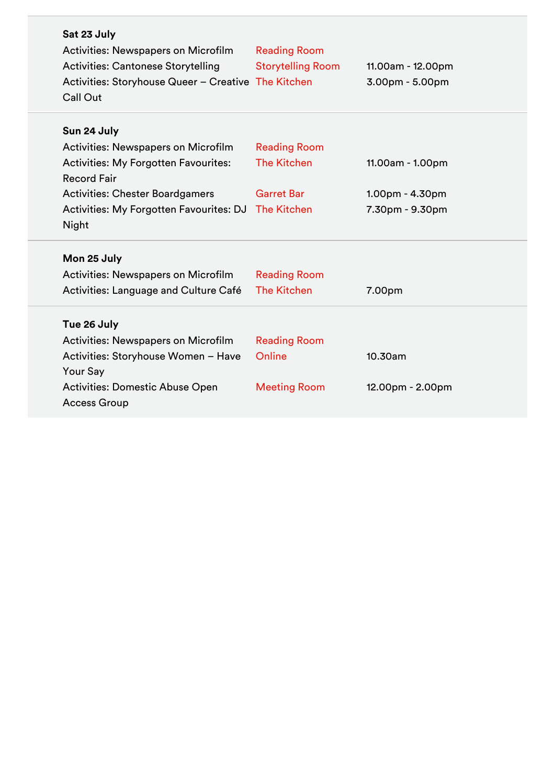| Sat 23 July<br><b>Activities: Newspapers on Microfilm</b><br><b>Activities: Cantonese Storytelling</b><br>Activities: Storyhouse Queer - Creative The Kitchen<br><b>Call Out</b> | <b>Reading Room</b><br><b>Storytelling Room</b> | 11.00am - 12.00pm<br>3.00pm - 5.00pm |
|----------------------------------------------------------------------------------------------------------------------------------------------------------------------------------|-------------------------------------------------|--------------------------------------|
| Sun 24 July<br><b>Activities: Newspapers on Microfilm</b><br><b>Activities: My Forgotten Favourites:</b><br><b>Record Fair</b>                                                   | <b>Reading Room</b><br><b>The Kitchen</b>       | 11.00am - 1.00pm                     |
| <b>Activities: Chester Boardgamers</b><br>Activities: My Forgotten Favourites: DJ<br>Night                                                                                       | <b>Garret Bar</b><br>The Kitchen                | $1.00pm - 4.30pm$<br>7.30pm - 9.30pm |
| Mon 25 July<br><b>Activities: Newspapers on Microfilm</b>                                                                                                                        | <b>Reading Room</b>                             |                                      |
| Activities: Language and Culture Café<br>Tue 26 July                                                                                                                             | <b>The Kitchen</b>                              | 7.00pm                               |
| <b>Activities: Newspapers on Microfilm</b><br>Activities: Storyhouse Women - Have<br>Your Say                                                                                    | <b>Reading Room</b><br>Online                   | 10.30am                              |
| Activities: Domestic Abuse Open<br><b>Access Group</b>                                                                                                                           | <b>Meeting Room</b>                             | 12.00pm - 2.00pm                     |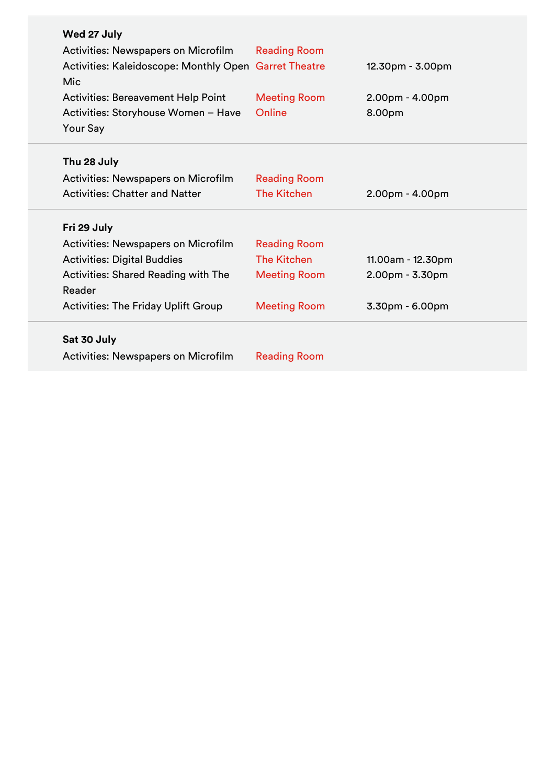| Wed 27 July                                           |                     |                   |
|-------------------------------------------------------|---------------------|-------------------|
| <b>Activities: Newspapers on Microfilm</b>            | <b>Reading Room</b> |                   |
| Activities: Kaleidoscope: Monthly Open Garret Theatre |                     | 12.30pm - 3.00pm  |
| Mic                                                   |                     |                   |
| <b>Activities: Bereavement Help Point</b>             | <b>Meeting Room</b> | $2.00pm - 4.00pm$ |
| Activities: Storyhouse Women - Have                   | Online              | 8.00pm            |
| Your Say                                              |                     |                   |
| Thu 28 July                                           |                     |                   |
| <b>Activities: Newspapers on Microfilm</b>            | <b>Reading Room</b> |                   |
| <b>Activities: Chatter and Natter</b>                 | <b>The Kitchen</b>  |                   |
|                                                       |                     | $2.00pm - 4.00pm$ |
| Fri 29 July                                           |                     |                   |
| <b>Activities: Newspapers on Microfilm</b>            | <b>Reading Room</b> |                   |
| <b>Activities: Digital Buddies</b>                    | <b>The Kitchen</b>  | 11.00am - 12.30pm |
| <b>Activities: Shared Reading with The</b>            | <b>Meeting Room</b> | 2.00pm - 3.30pm   |
| Reader                                                |                     |                   |
| <b>Activities: The Friday Uplift Group</b>            | <b>Meeting Room</b> | 3.30pm - 6.00pm   |
| Sat 30 July                                           |                     |                   |
| <b>Activities: Newspapers on Microfilm</b>            | <b>Reading Room</b> |                   |
|                                                       |                     |                   |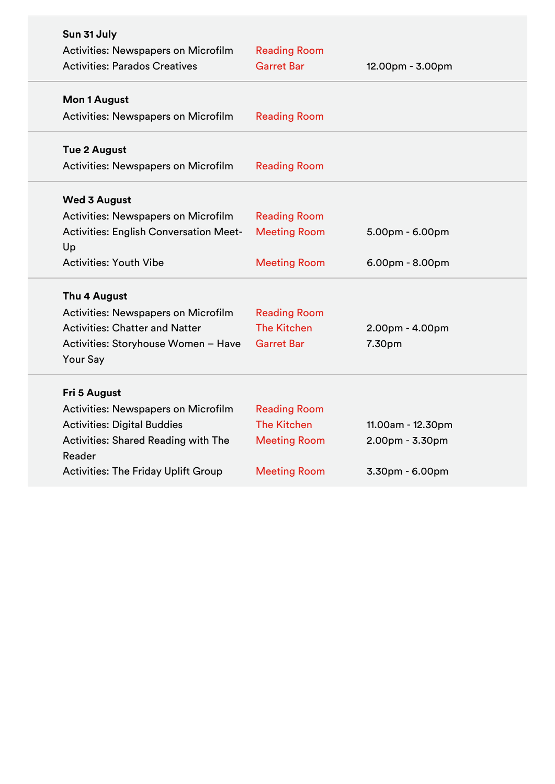| Sun 31 July                                   |                     |                   |
|-----------------------------------------------|---------------------|-------------------|
| <b>Activities: Newspapers on Microfilm</b>    | <b>Reading Room</b> |                   |
| <b>Activities: Parados Creatives</b>          | <b>Garret Bar</b>   | 12.00pm - 3.00pm  |
| <b>Mon 1 August</b>                           |                     |                   |
| <b>Activities: Newspapers on Microfilm</b>    | <b>Reading Room</b> |                   |
|                                               |                     |                   |
| <b>Tue 2 August</b>                           |                     |                   |
| <b>Activities: Newspapers on Microfilm</b>    | <b>Reading Room</b> |                   |
| <b>Wed 3 August</b>                           |                     |                   |
| <b>Activities: Newspapers on Microfilm</b>    | <b>Reading Room</b> |                   |
| <b>Activities: English Conversation Meet-</b> | <b>Meeting Room</b> | 5.00pm - 6.00pm   |
| Up                                            |                     |                   |
| <b>Activities: Youth Vibe</b>                 | <b>Meeting Room</b> | $6.00pm - 8.00pm$ |
| Thu 4 August                                  |                     |                   |
| Activities: Newspapers on Microfilm           | <b>Reading Room</b> |                   |
| <b>Activities: Chatter and Natter</b>         | <b>The Kitchen</b>  | 2.00pm - 4.00pm   |
| Activities: Storyhouse Women - Have           | <b>Garret Bar</b>   | 7.30pm            |
| Your Say                                      |                     |                   |
| Fri 5 August                                  |                     |                   |
| <b>Activities: Newspapers on Microfilm</b>    | <b>Reading Room</b> |                   |
| <b>Activities: Digital Buddies</b>            | <b>The Kitchen</b>  | 11.00am - 12.30pm |
| <b>Activities: Shared Reading with The</b>    | <b>Meeting Room</b> | 2.00pm - 3.30pm   |
| Reader                                        |                     |                   |
| <b>Activities: The Friday Uplift Group</b>    | <b>Meeting Room</b> | 3.30pm - 6.00pm   |
|                                               |                     |                   |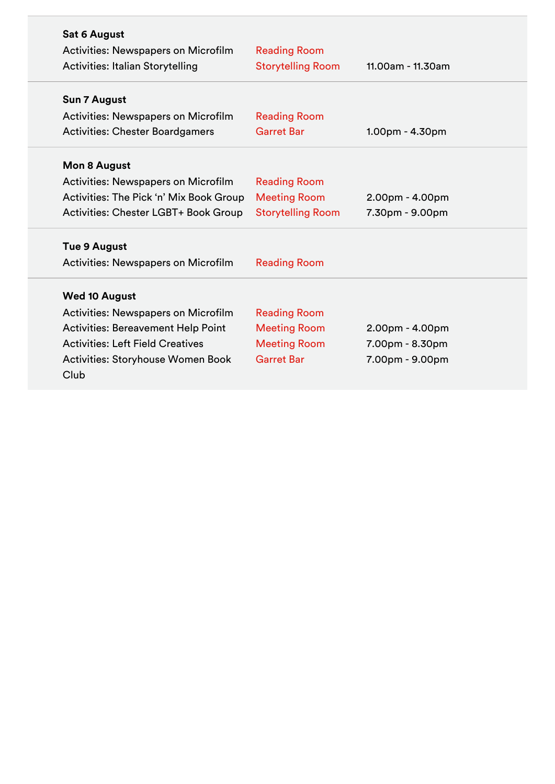| <b>Sat 6 August</b><br>Activities: Newspapers on Microfilm<br><b>Activities: Italian Storytelling</b> | <b>Reading Room</b><br><b>Storytelling Room</b> | 11.00am - 11.30am |
|-------------------------------------------------------------------------------------------------------|-------------------------------------------------|-------------------|
| <b>Sun 7 August</b>                                                                                   |                                                 |                   |
| <b>Activities: Newspapers on Microfilm</b>                                                            | <b>Reading Room</b>                             |                   |
| <b>Activities: Chester Boardgamers</b>                                                                | <b>Garret Bar</b>                               | $1.00pm - 4.30pm$ |
| <b>Mon 8 August</b>                                                                                   |                                                 |                   |
| Activities: Newspapers on Microfilm                                                                   | <b>Reading Room</b>                             |                   |
| Activities: The Pick 'n' Mix Book Group                                                               | <b>Meeting Room</b>                             | 2.00pm - 4.00pm   |
| Activities: Chester LGBT+ Book Group                                                                  | <b>Storytelling Room</b>                        | 7.30pm - 9.00pm   |
| <b>Tue 9 August</b>                                                                                   |                                                 |                   |
| <b>Activities: Newspapers on Microfilm</b>                                                            | <b>Reading Room</b>                             |                   |
| <b>Wed 10 August</b>                                                                                  |                                                 |                   |
| <b>Activities: Newspapers on Microfilm</b>                                                            | <b>Reading Room</b>                             |                   |
| <b>Activities: Bereavement Help Point</b>                                                             | <b>Meeting Room</b>                             | $2.00pm - 4.00pm$ |
| <b>Activities: Left Field Creatives</b>                                                               | <b>Meeting Room</b>                             | 7.00pm - 8.30pm   |
| <b>Activities: Storyhouse Women Book</b><br>Club                                                      | <b>Garret Bar</b>                               | 7.00pm - 9.00pm   |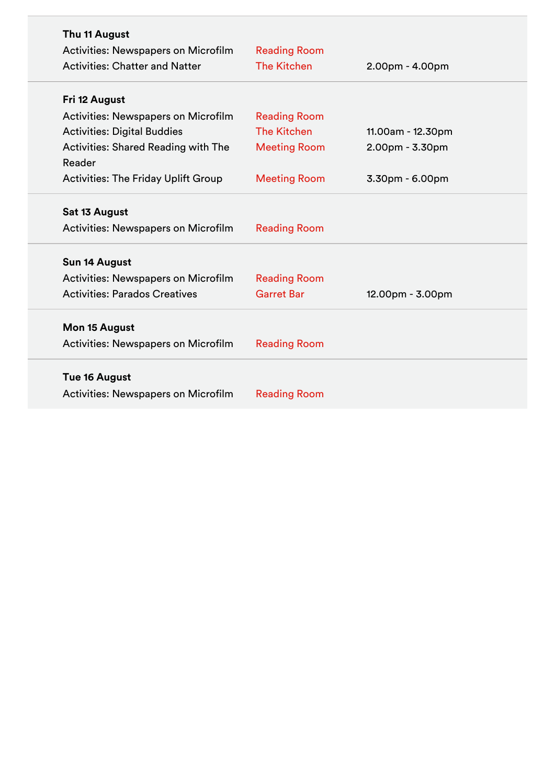| Thu 11 August<br><b>Activities: Newspapers on Microfilm</b><br><b>Activities: Chatter and Natter</b> | <b>Reading Room</b><br><b>The Kitchen</b> | $2.00pm - 4.00pm$ |
|------------------------------------------------------------------------------------------------------|-------------------------------------------|-------------------|
| Fri 12 August                                                                                        |                                           |                   |
| <b>Activities: Newspapers on Microfilm</b>                                                           | <b>Reading Room</b>                       |                   |
| <b>Activities: Digital Buddies</b>                                                                   | <b>The Kitchen</b>                        | 11.00am - 12.30pm |
| <b>Activities: Shared Reading with The</b><br>Reader                                                 | <b>Meeting Room</b>                       | $2.00pm - 3.30pm$ |
| <b>Activities: The Friday Uplift Group</b>                                                           | <b>Meeting Room</b>                       | 3.30pm - 6.00pm   |
| Sat 13 August                                                                                        |                                           |                   |
| <b>Activities: Newspapers on Microfilm</b>                                                           | <b>Reading Room</b>                       |                   |
| Sun 14 August                                                                                        |                                           |                   |
| <b>Activities: Newspapers on Microfilm</b>                                                           | <b>Reading Room</b>                       |                   |
| <b>Activities: Parados Creatives</b>                                                                 | <b>Garret Bar</b>                         | 12.00pm - 3.00pm  |
| Mon 15 August                                                                                        |                                           |                   |
| <b>Activities: Newspapers on Microfilm</b>                                                           | <b>Reading Room</b>                       |                   |
| Tue 16 August                                                                                        |                                           |                   |
| <b>Activities: Newspapers on Microfilm</b>                                                           | <b>Reading Room</b>                       |                   |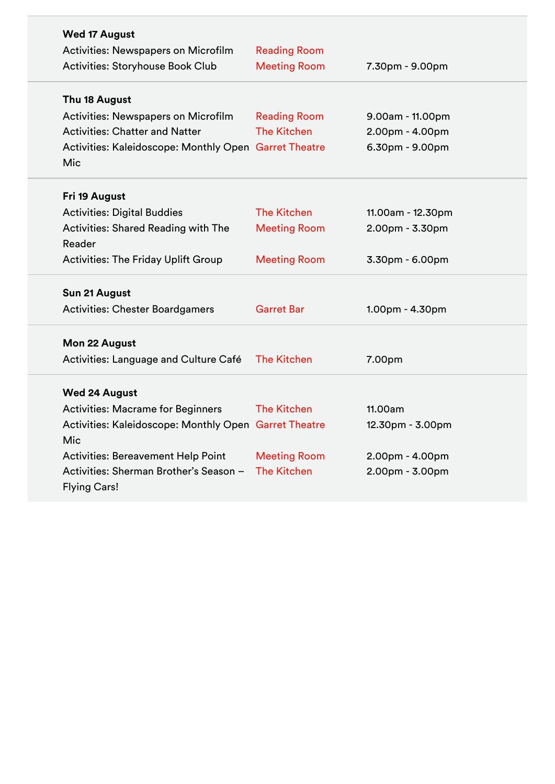| <b>Wed 17 August</b>                                  |                     |                   |
|-------------------------------------------------------|---------------------|-------------------|
| Activities: Newspapers on Microfilm                   | <b>Reading Room</b> |                   |
| Activities: Storyhouse Book Club                      | <b>Meeting Room</b> | 7.30pm - 9.00pm   |
| Thu 18 August                                         |                     |                   |
| <b>Activities: Newspapers on Microfilm</b>            | <b>Reading Room</b> | 9.00am - 11.00pm  |
| <b>Activities: Chatter and Natter</b>                 | <b>The Kitchen</b>  | 2.00pm - 4.00pm   |
| Activities: Kaleidoscope: Monthly Open Garret Theatre |                     | 6.30pm - 9.00pm   |
| Mic                                                   |                     |                   |
| Fri 19 August                                         |                     |                   |
| <b>Activities: Digital Buddies</b>                    | <b>The Kitchen</b>  | 11.00am - 12.30pm |
| Activities: Shared Reading with The                   | <b>Meeting Room</b> | 2.00pm - 3.30pm   |
| Reader                                                |                     |                   |
| <b>Activities: The Friday Uplift Group</b>            | <b>Meeting Room</b> | $3.30pm - 6.00pm$ |
| Sun 21 August                                         |                     |                   |
| <b>Activities: Chester Boardgamers</b>                | <b>Garret Bar</b>   | 1.00pm - 4.30pm   |
| Mon 22 August                                         |                     |                   |
| Activities: Language and Culture Café                 | <b>The Kitchen</b>  | 7.00pm            |
|                                                       |                     |                   |
| <b>Wed 24 August</b>                                  |                     |                   |
| <b>Activities: Macrame for Beginners</b>              | <b>The Kitchen</b>  | 11.00am           |
| Activities: Kaleidoscope: Monthly Open Garret Theatre |                     | 12.30pm - 3.00pm  |
| Mic                                                   |                     |                   |
| <b>Activities: Bereavement Help Point</b>             | <b>Meeting Room</b> | 2.00pm - 4.00pm   |
| Activities: Sherman Brother's Season -                | <b>The Kitchen</b>  | 2.00pm - 3.00pm   |
| <b>Flying Cars!</b>                                   |                     |                   |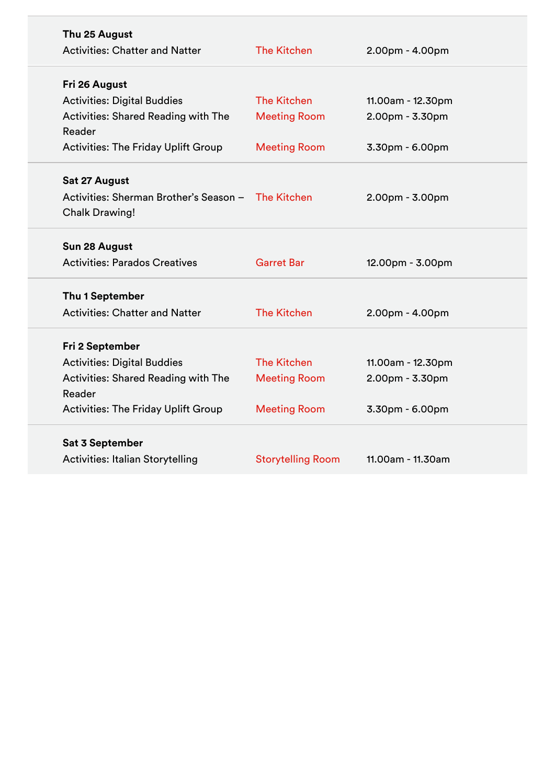| Thu 25 August                                      |                          |                   |
|----------------------------------------------------|--------------------------|-------------------|
| <b>Activities: Chatter and Natter</b>              | <b>The Kitchen</b>       | $2.00pm - 4.00pm$ |
|                                                    |                          |                   |
| Fri 26 August                                      |                          |                   |
| <b>Activities: Digital Buddies</b>                 | <b>The Kitchen</b>       | 11.00am - 12.30pm |
| Activities: Shared Reading with The                | <b>Meeting Room</b>      | 2.00pm - 3.30pm   |
| Reader                                             |                          |                   |
| <b>Activities: The Friday Uplift Group</b>         | <b>Meeting Room</b>      | 3.30pm - 6.00pm   |
|                                                    |                          |                   |
| Sat 27 August                                      |                          |                   |
| Activities: Sherman Brother's Season - The Kitchen |                          | 2.00pm - 3.00pm   |
| <b>Chalk Drawing!</b>                              |                          |                   |
| Sun 28 August                                      |                          |                   |
| <b>Activities: Parados Creatives</b>               | <b>Garret Bar</b>        | 12.00pm - 3.00pm  |
|                                                    |                          |                   |
| Thu 1 September                                    |                          |                   |
| <b>Activities: Chatter and Natter</b>              | <b>The Kitchen</b>       | $2.00pm - 4.00pm$ |
| Fri 2 September                                    |                          |                   |
| <b>Activities: Digital Buddies</b>                 | <b>The Kitchen</b>       | 11.00am - 12.30pm |
| Activities: Shared Reading with The                | <b>Meeting Room</b>      | 2.00pm - 3.30pm   |
| Reader                                             |                          |                   |
|                                                    |                          |                   |
| Activities: The Friday Uplift Group                | <b>Meeting Room</b>      | 3.30pm - 6.00pm   |
| <b>Sat 3 September</b>                             |                          |                   |
| <b>Activities: Italian Storytelling</b>            | <b>Storytelling Room</b> | 11.00am - 11.30am |
|                                                    |                          |                   |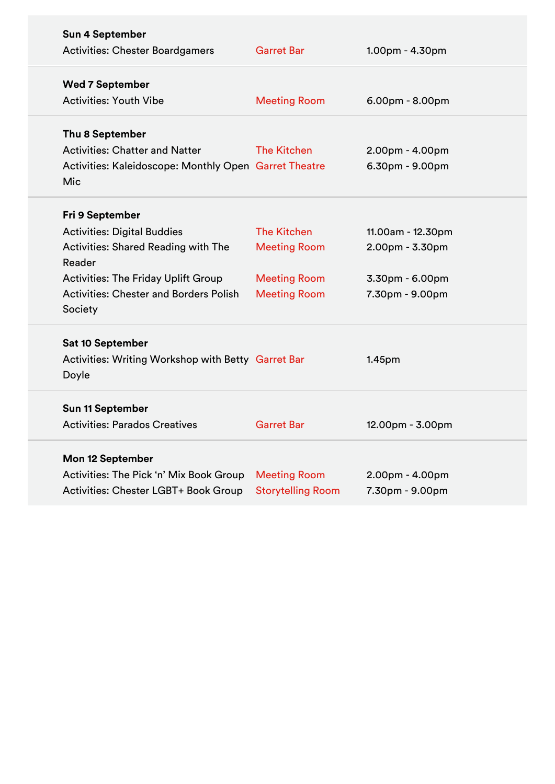| Sun 4 September                                       |                          |                    |
|-------------------------------------------------------|--------------------------|--------------------|
| <b>Activities: Chester Boardgamers</b>                | <b>Garret Bar</b>        | $1.00pm - 4.30pm$  |
| <b>Wed 7 September</b>                                |                          |                    |
| <b>Activities: Youth Vibe</b>                         | <b>Meeting Room</b>      | $6.00pm - 8.00pm$  |
| Thu 8 September                                       |                          |                    |
| <b>Activities: Chatter and Natter</b>                 | <b>The Kitchen</b>       | 2.00pm - 4.00pm    |
| Activities: Kaleidoscope: Monthly Open Garret Theatre |                          | 6.30pm - 9.00pm    |
| Mic                                                   |                          |                    |
| Fri 9 September                                       |                          |                    |
| <b>Activities: Digital Buddies</b>                    | <b>The Kitchen</b>       | 11.00am - 12.30pm  |
| Activities: Shared Reading with The                   | <b>Meeting Room</b>      | 2.00pm - 3.30pm    |
| Reader                                                |                          |                    |
| <b>Activities: The Friday Uplift Group</b>            | <b>Meeting Room</b>      | 3.30pm - 6.00pm    |
| <b>Activities: Chester and Borders Polish</b>         | <b>Meeting Room</b>      | 7.30pm - 9.00pm    |
| Society                                               |                          |                    |
| <b>Sat 10 September</b>                               |                          |                    |
| Activities: Writing Workshop with Betty Garret Bar    |                          | 1.45 <sub>pm</sub> |
| Doyle                                                 |                          |                    |
| <b>Sun 11 September</b>                               |                          |                    |
| <b>Activities: Parados Creatives</b>                  | <b>Garret Bar</b>        | 12.00pm - 3.00pm   |
|                                                       |                          |                    |
| Mon 12 September                                      |                          |                    |
| Activities: The Pick 'n' Mix Book Group               | <b>Meeting Room</b>      | 2.00pm - 4.00pm    |
| Activities: Chester LGBT+ Book Group                  | <b>Storytelling Room</b> | 7.30pm - 9.00pm    |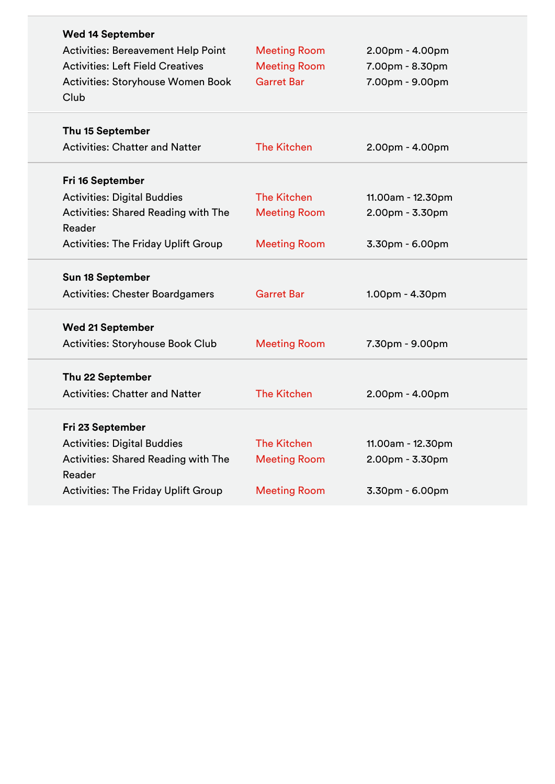| <b>Wed 14 September</b>                       |                     |                   |
|-----------------------------------------------|---------------------|-------------------|
| Activities: Bereavement Help Point            | <b>Meeting Room</b> | 2.00pm - 4.00pm   |
| <b>Activities: Left Field Creatives</b>       | <b>Meeting Room</b> | 7.00pm - 8.30pm   |
| Activities: Storyhouse Women Book             | <b>Garret Bar</b>   | 7.00pm - 9.00pm   |
| Club                                          |                     |                   |
| Thu 15 September                              |                     |                   |
| <b>Activities: Chatter and Natter</b>         | <b>The Kitchen</b>  | $2.00pm - 4.00pm$ |
| Fri 16 September                              |                     |                   |
| <b>Activities: Digital Buddies</b>            | <b>The Kitchen</b>  | 11.00am - 12.30pm |
| <b>Activities: Shared Reading with The</b>    | <b>Meeting Room</b> | 2.00pm - 3.30pm   |
| Reader                                        |                     |                   |
| <b>Activities: The Friday Uplift Group</b>    | <b>Meeting Room</b> | 3.30pm - 6.00pm   |
| Sun 18 September                              |                     |                   |
| <b>Activities: Chester Boardgamers</b>        | <b>Garret Bar</b>   | 1.00pm - 4.30pm   |
| <b>Wed 21 September</b>                       |                     |                   |
| Activities: Storyhouse Book Club              | <b>Meeting Room</b> | 7.30pm - 9.00pm   |
| Thu 22 September                              |                     |                   |
| <b>Activities: Chatter and Natter</b>         | <b>The Kitchen</b>  | $2.00pm - 4.00pm$ |
|                                               |                     |                   |
| Fri 23 September                              |                     |                   |
| <b>Activities: Digital Buddies</b>            | <b>The Kitchen</b>  | 11.00am - 12.30pm |
| Activities: Shared Reading with The<br>Reader | <b>Meeting Room</b> | 2.00pm - 3.30pm   |
| <b>Activities: The Friday Uplift Group</b>    | <b>Meeting Room</b> | 3.30pm - 6.00pm   |
|                                               |                     |                   |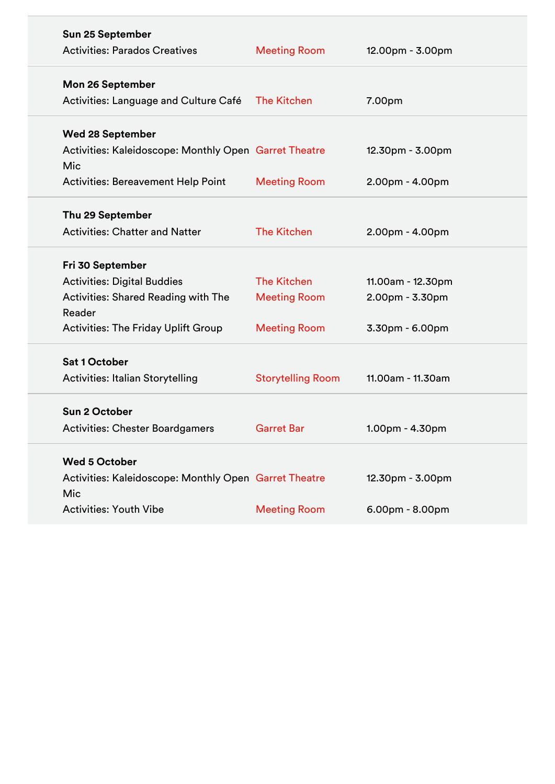| Sun 25 September                                             |                          |                   |
|--------------------------------------------------------------|--------------------------|-------------------|
| <b>Activities: Parados Creatives</b>                         | <b>Meeting Room</b>      | 12.00pm - 3.00pm  |
| Mon 26 September                                             |                          |                   |
| Activities: Language and Culture Café                        | <b>The Kitchen</b>       | 7.00pm            |
| <b>Wed 28 September</b>                                      |                          |                   |
| Activities: Kaleidoscope: Monthly Open Garret Theatre<br>Mic |                          | 12.30pm - 3.00pm  |
| <b>Activities: Bereavement Help Point</b>                    | <b>Meeting Room</b>      | 2.00pm - 4.00pm   |
| Thu 29 September                                             |                          |                   |
| <b>Activities: Chatter and Natter</b>                        | <b>The Kitchen</b>       | 2.00pm - 4.00pm   |
| Fri 30 September                                             |                          |                   |
| <b>Activities: Digital Buddies</b>                           | <b>The Kitchen</b>       | 11.00am - 12.30pm |
| <b>Activities: Shared Reading with The</b><br>Reader         | <b>Meeting Room</b>      | 2.00pm - 3.30pm   |
| <b>Activities: The Friday Uplift Group</b>                   | <b>Meeting Room</b>      | 3.30pm - 6.00pm   |
| <b>Sat 1 October</b>                                         |                          |                   |
| <b>Activities: Italian Storytelling</b>                      | <b>Storytelling Room</b> | 11.00am - 11.30am |
| <b>Sun 2 October</b>                                         |                          |                   |
| <b>Activities: Chester Boardgamers</b>                       | <b>Garret Bar</b>        | $1.00pm - 4.30pm$ |
| <b>Wed 5 October</b>                                         |                          |                   |
| Activities: Kaleidoscope: Monthly Open Garret Theatre<br>Mic |                          | 12.30pm - 3.00pm  |
| <b>Activities: Youth Vibe</b>                                | <b>Meeting Room</b>      | $6.00pm - 8.00pm$ |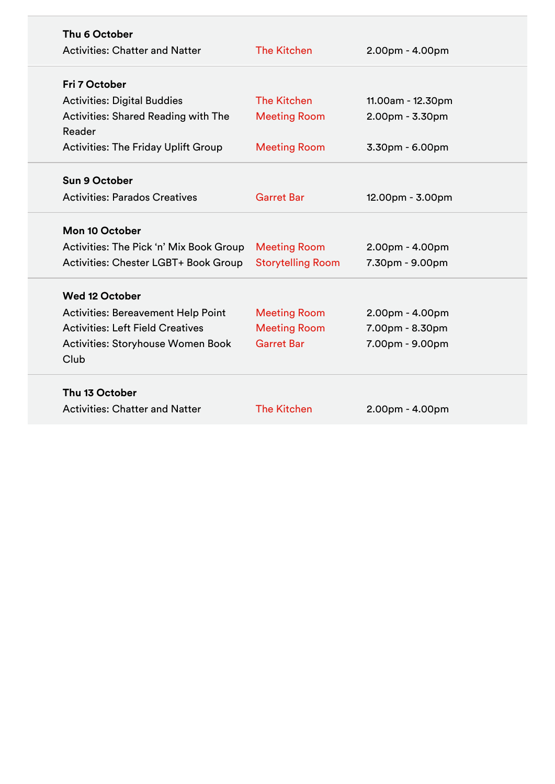| Thu 6 October                              |                          |                   |
|--------------------------------------------|--------------------------|-------------------|
| <b>Activities: Chatter and Natter</b>      | <b>The Kitchen</b>       | $2.00pm - 4.00pm$ |
| Fri 7 October                              |                          |                   |
| <b>Activities: Digital Buddies</b>         | <b>The Kitchen</b>       | 11.00am - 12.30pm |
| <b>Activities: Shared Reading with The</b> | <b>Meeting Room</b>      | $2.00pm - 3.30pm$ |
| Reader                                     |                          |                   |
| <b>Activities: The Friday Uplift Group</b> | <b>Meeting Room</b>      | 3.30pm - 6.00pm   |
| <b>Sun 9 October</b>                       |                          |                   |
| <b>Activities: Parados Creatives</b>       | <b>Garret Bar</b>        | 12.00pm - 3.00pm  |
| Mon 10 October                             |                          |                   |
| Activities: The Pick 'n' Mix Book Group    | <b>Meeting Room</b>      | $2.00pm - 4.00pm$ |
| Activities: Chester LGBT+ Book Group       | <b>Storytelling Room</b> | 7.30pm - 9.00pm   |
| <b>Wed 12 October</b>                      |                          |                   |
| <b>Activities: Bereavement Help Point</b>  | <b>Meeting Room</b>      | $2.00pm - 4.00pm$ |
| <b>Activities: Left Field Creatives</b>    | <b>Meeting Room</b>      | 7.00pm - 8.30pm   |
| Activities: Storyhouse Women Book          | <b>Garret Bar</b>        | 7.00pm - 9.00pm   |
| Club                                       |                          |                   |
| Thu 13 October                             |                          |                   |
| <b>Activities: Chatter and Natter</b>      | <b>The Kitchen</b>       | $2.00pm - 4.00pm$ |
|                                            |                          |                   |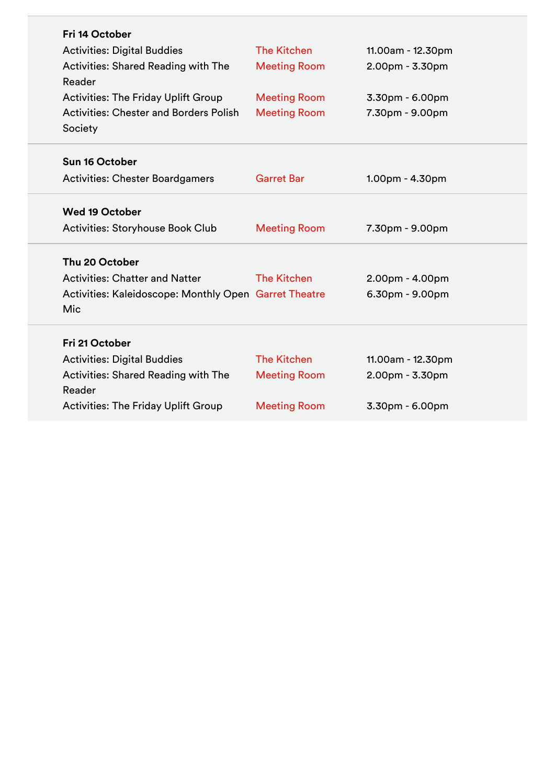| Fri 14 October                                        |                     |                   |
|-------------------------------------------------------|---------------------|-------------------|
| <b>Activities: Digital Buddies</b>                    | <b>The Kitchen</b>  | 11.00am - 12.30pm |
| <b>Activities: Shared Reading with The</b>            | <b>Meeting Room</b> | 2.00pm - 3.30pm   |
| Reader                                                |                     |                   |
| <b>Activities: The Friday Uplift Group</b>            | <b>Meeting Room</b> | 3.30pm - 6.00pm   |
| <b>Activities: Chester and Borders Polish</b>         | <b>Meeting Room</b> | 7.30pm - 9.00pm   |
| Society                                               |                     |                   |
| Sun 16 October                                        |                     |                   |
| <b>Activities: Chester Boardgamers</b>                | <b>Garret Bar</b>   | $1.00pm - 4.30pm$ |
|                                                       |                     |                   |
| <b>Wed 19 October</b>                                 |                     |                   |
| <b>Activities: Storyhouse Book Club</b>               | <b>Meeting Room</b> | 7.30pm - 9.00pm   |
| Thu 20 October                                        |                     |                   |
| <b>Activities: Chatter and Natter</b>                 | <b>The Kitchen</b>  | $2.00pm - 4.00pm$ |
| Activities: Kaleidoscope: Monthly Open Garret Theatre |                     | $6.30pm - 9.00pm$ |
| Mic                                                   |                     |                   |
| Fri 21 October                                        |                     |                   |
|                                                       |                     |                   |
| <b>Activities: Digital Buddies</b>                    | <b>The Kitchen</b>  | 11.00am - 12.30pm |
| <b>Activities: Shared Reading with The</b>            | <b>Meeting Room</b> | $2.00pm - 3.30pm$ |
| Reader                                                |                     |                   |
| <b>Activities: The Friday Uplift Group</b>            | <b>Meeting Room</b> | 3.30pm - 6.00pm   |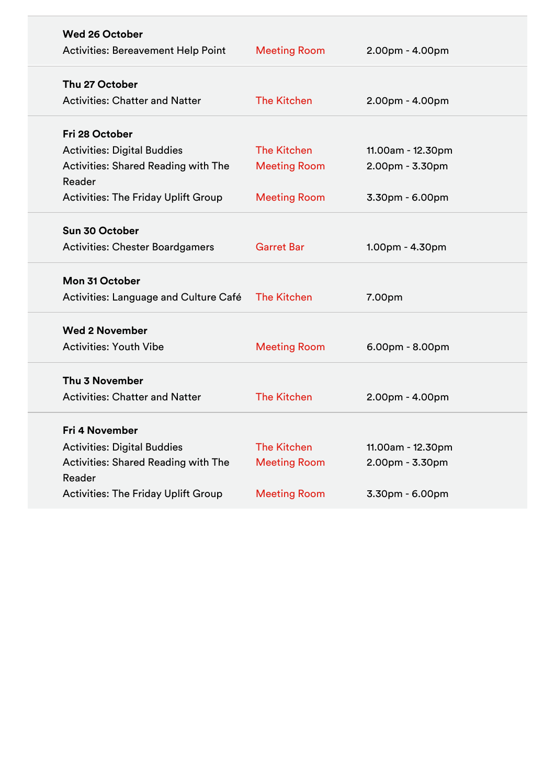| <b>Wed 26 October</b>                                |                     |                   |
|------------------------------------------------------|---------------------|-------------------|
| <b>Activities: Bereavement Help Point</b>            | <b>Meeting Room</b> | 2.00pm - 4.00pm   |
| Thu 27 October                                       |                     |                   |
| <b>Activities: Chatter and Natter</b>                | <b>The Kitchen</b>  | 2.00pm - 4.00pm   |
| Fri 28 October                                       |                     |                   |
| <b>Activities: Digital Buddies</b>                   | <b>The Kitchen</b>  | 11.00am - 12.30pm |
| <b>Activities: Shared Reading with The</b>           | <b>Meeting Room</b> | 2.00pm - 3.30pm   |
| Reader                                               |                     |                   |
| <b>Activities: The Friday Uplift Group</b>           | <b>Meeting Room</b> | 3.30pm - 6.00pm   |
| Sun 30 October                                       |                     |                   |
| <b>Activities: Chester Boardgamers</b>               | <b>Garret Bar</b>   | $1.00pm - 4.30pm$ |
| Mon 31 October                                       |                     |                   |
| Activities: Language and Culture Café                | <b>The Kitchen</b>  | 7.00pm            |
| <b>Wed 2 November</b>                                |                     |                   |
|                                                      |                     |                   |
| <b>Activities: Youth Vibe</b>                        | <b>Meeting Room</b> | $6.00pm - 8.00pm$ |
| Thu 3 November                                       |                     |                   |
| <b>Activities: Chatter and Natter</b>                | <b>The Kitchen</b>  | $2.00pm - 4.00pm$ |
| Fri 4 November                                       |                     |                   |
|                                                      |                     |                   |
| <b>Activities: Digital Buddies</b>                   | <b>The Kitchen</b>  | 11.00am - 12.30pm |
| <b>Activities: Shared Reading with The</b><br>Reader | <b>Meeting Room</b> | 2.00pm - 3.30pm   |
| <b>Activities: The Friday Uplift Group</b>           | <b>Meeting Room</b> | 3.30pm - 6.00pm   |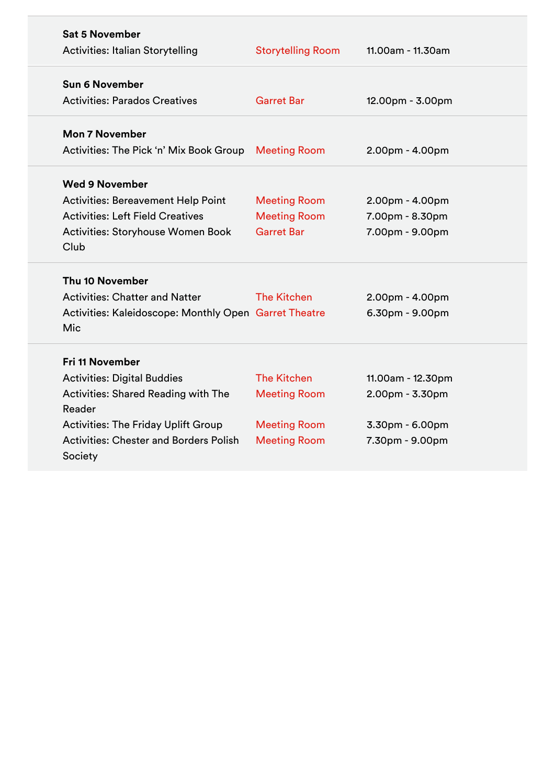| <b>Sat 5 November</b>                                 |                          |                   |
|-------------------------------------------------------|--------------------------|-------------------|
| <b>Activities: Italian Storytelling</b>               | <b>Storytelling Room</b> | 11.00am - 11.30am |
| <b>Sun 6 November</b>                                 |                          |                   |
| <b>Activities: Parados Creatives</b>                  | <b>Garret Bar</b>        | 12.00pm - 3.00pm  |
| <b>Mon 7 November</b>                                 |                          |                   |
| Activities: The Pick 'n' Mix Book Group               | <b>Meeting Room</b>      | $2.00pm - 4.00pm$ |
| <b>Wed 9 November</b>                                 |                          |                   |
| <b>Activities: Bereavement Help Point</b>             | <b>Meeting Room</b>      | $2.00pm - 4.00pm$ |
| <b>Activities: Left Field Creatives</b>               | <b>Meeting Room</b>      | 7.00pm - 8.30pm   |
| Activities: Storyhouse Women Book                     | <b>Garret Bar</b>        | 7.00pm - 9.00pm   |
| Club                                                  |                          |                   |
| Thu 10 November                                       |                          |                   |
| <b>Activities: Chatter and Natter</b>                 | <b>The Kitchen</b>       | 2.00pm - 4.00pm   |
| Activities: Kaleidoscope: Monthly Open Garret Theatre |                          | $6.30pm - 9.00pm$ |
| Mic                                                   |                          |                   |
| Fri 11 November                                       |                          |                   |
| <b>Activities: Digital Buddies</b>                    | <b>The Kitchen</b>       | 11.00am - 12.30pm |
| <b>Activities: Shared Reading with The</b>            | <b>Meeting Room</b>      | $2.00pm - 3.30pm$ |
| Reader                                                |                          |                   |
| <b>Activities: The Friday Uplift Group</b>            | <b>Meeting Room</b>      | $3.30pm - 6.00pm$ |
| <b>Activities: Chester and Borders Polish</b>         | <b>Meeting Room</b>      | 7.30pm - 9.00pm   |
| Society                                               |                          |                   |